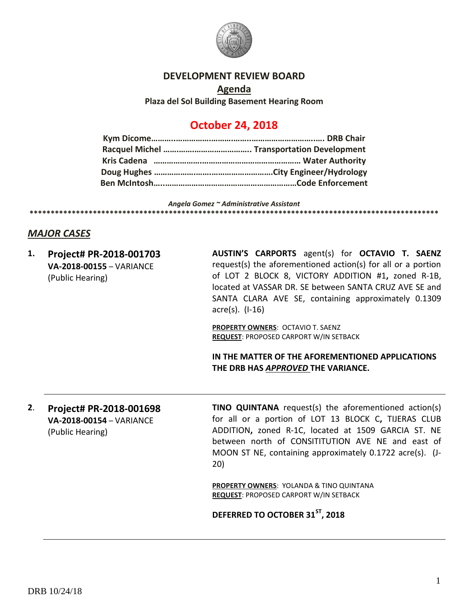

#### **DEVELOPMENT REVIEW BOARD**

**Agenda Plaza del Sol Building Basement Hearing Room**

# **October 24, 2018**

*Angela Gomez ~ Administrative Assistant* **\*\*\*\*\*\*\*\*\*\*\*\*\*\*\*\*\*\*\*\*\*\*\*\*\*\*\*\*\*\*\*\*\*\*\*\*\*\*\*\*\*\*\*\*\*\*\*\*\*\*\*\*\*\*\*\*\*\*\*\*\*\*\*\*\*\*\*\*\*\*\*\*\*\*\*\*\*\*\*\*\*\*\*\*\*\*\*\*\*\*\*\*\*\*\*\*\***

### *MAJOR CASES*

**1. Project# PR-2018-001703 VA-2018-00155** – VARIANCE (Public Hearing)

**AUSTIN'S CARPORTS** agent(s) for **OCTAVIO T. SAENZ** request(s) the aforementioned action(s) for all or a portion of LOT 2 BLOCK 8, VICTORY ADDITION #1**,** zoned R-1B, located at VASSAR DR. SE between SANTA CRUZ AVE SE and SANTA CLARA AVE SE, containing approximately 0.1309 acre(s). (I-16)

**PROPERTY OWNERS**: OCTAVIO T. SAENZ **REQUEST**: PROPOSED CARPORT W/IN SETBACK

**IN THE MATTER OF THE AFOREMENTIONED APPLICATIONS THE DRB HAS** *APPROVED* **THE VARIANCE.**

**2**. **Project# PR-2018-001698 VA-2018-00154** – VARIANCE (Public Hearing)

**TINO QUINTANA** request(s) the aforementioned action(s) for all or a portion of LOT 13 BLOCK C**,** TIJERAS CLUB ADDITION**,** zoned R-1C, located at 1509 GARCIA ST. NE between north of CONSITITUTION AVE NE and east of MOON ST NE, containing approximately 0.1722 acre(s). (J-20)

**PROPERTY OWNERS**: YOLANDA & TINO QUINTANA **REQUEST**: PROPOSED CARPORT W/IN SETBACK

#### **DEFERRED TO OCTOBER 31ST, 2018**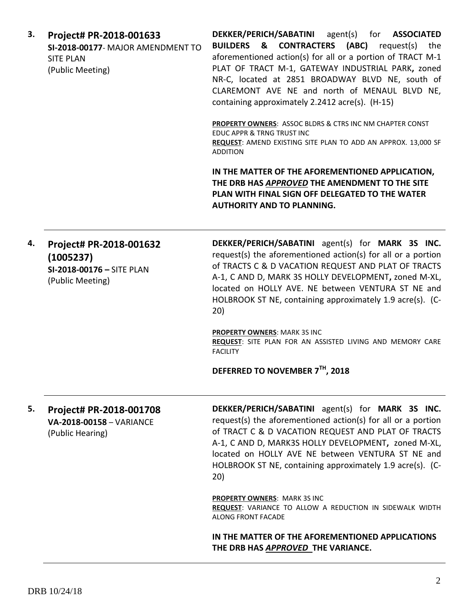| 3. | Project# PR-2018-001633<br>SI-2018-00177-MAJOR AMENDMENT TO<br><b>SITE PLAN</b><br>(Public Meeting) | DEKKER/PERICH/SABATINI agent(s) for ASSOCIATED<br><b>BUILDERS &amp; CONTRACTERS (ABC)</b> request(s)<br>the<br>aforementioned action(s) for all or a portion of TRACT M-1<br>PLAT OF TRACT M-1, GATEWAY INDUSTRIAL PARK, zoned<br>NR-C, located at 2851 BROADWAY BLVD NE, south of<br>CLAREMONT AVE NE and north of MENAUL BLVD NE,<br>containing approximately 2.2412 acre(s). (H-15) |  |
|----|-----------------------------------------------------------------------------------------------------|----------------------------------------------------------------------------------------------------------------------------------------------------------------------------------------------------------------------------------------------------------------------------------------------------------------------------------------------------------------------------------------|--|
|    |                                                                                                     | <b>PROPERTY OWNERS: ASSOC BLDRS &amp; CTRS INC NM CHAPTER CONST</b><br>EDUC APPR & TRNG TRUST INC<br>REQUEST: AMEND EXISTING SITE PLAN TO ADD AN APPROX. 13,000 SF<br><b>ADDITION</b>                                                                                                                                                                                                  |  |
|    |                                                                                                     | IN THE MATTER OF THE AFOREMENTIONED APPLICATION,<br>THE DRB HAS APPROVED THE AMENDMENT TO THE SITE<br>PLAN WITH FINAL SIGN OFF DELEGATED TO THE WATER<br><b>AUTHORITY AND TO PLANNING.</b>                                                                                                                                                                                             |  |
| 4. | Project# PR-2018-001632<br>(1005237)<br>SI-2018-00176 - SITE PLAN<br>(Public Meeting)               | DEKKER/PERICH/SABATINI agent(s) for MARK 3S INC.<br>request(s) the aforementioned action(s) for all or a portion<br>of TRACTS C & D VACATION REQUEST AND PLAT OF TRACTS<br>A-1, C AND D, MARK 3S HOLLY DEVELOPMENT, zoned M-XL,<br>located on HOLLY AVE. NE between VENTURA ST NE and<br>HOLBROOK ST NE, containing approximately 1.9 acre(s). (C-<br>20)                              |  |
|    |                                                                                                     | <b>PROPERTY OWNERS: MARK 3S INC</b><br>REQUEST: SITE PLAN FOR AN ASSISTED LIVING AND MEMORY CARE<br><b>FACILITY</b>                                                                                                                                                                                                                                                                    |  |
|    |                                                                                                     | DEFERRED TO NOVEMBER 7TH, 2018                                                                                                                                                                                                                                                                                                                                                         |  |
| 5. | Project# PR-2018-001708<br>VA-2018-00158 - VARIANCE<br>(Public Hearing)                             | DEKKER/PERICH/SABATINI agent(s) for MARK 3S INC.<br>request(s) the aforementioned action(s) for all or a portion<br>of TRACT C & D VACATION REQUEST AND PLAT OF TRACTS<br>A-1, C AND D, MARK3S HOLLY DEVELOPMENT, zoned M-XL,<br>located on HOLLY AVE NE between VENTURA ST NE and<br>HOLBROOK ST NE, containing approximately 1.9 acre(s). (C-<br>20)                                 |  |
|    |                                                                                                     | <b>PROPERTY OWNERS: MARK 3S INC</b><br><b>REQUEST: VARIANCE TO ALLOW A REDUCTION IN SIDEWALK WIDTH</b><br>ALONG FRONT FACADE                                                                                                                                                                                                                                                           |  |
|    |                                                                                                     | IN THE MATTER OF THE AFOREMENTIONED APPLICATIONS<br>THE DRB HAS APPROVED THE VARIANCE.                                                                                                                                                                                                                                                                                                 |  |

DRB 10/24/18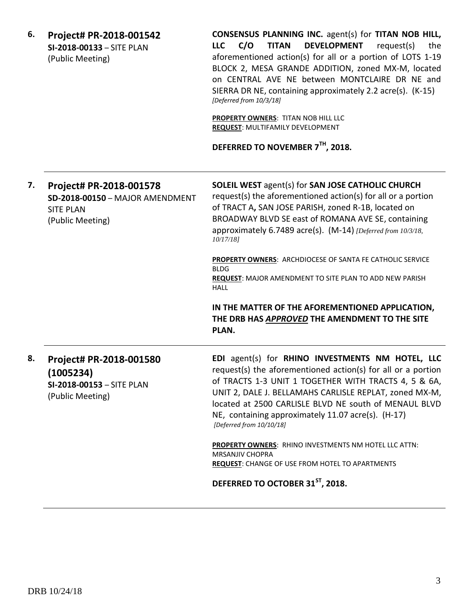| 6. | Project# PR-2018-001542<br>SI-2018-00133 - SITE PLAN<br>(Public Meeting)                           | CONSENSUS PLANNING INC. agent(s) for TITAN NOB HILL,<br><b>LLC</b><br>C/O<br><b>TITAN</b><br><b>DEVELOPMENT</b><br>request(s)<br>the<br>aforementioned action(s) for all or a portion of LOTS 1-19<br>BLOCK 2, MESA GRANDE ADDITION, zoned MX-M, located<br>on CENTRAL AVE NE between MONTCLAIRE DR NE and<br>SIERRA DR NE, containing approximately 2.2 acre(s). (K-15)<br>[Deferred from 10/3/18]<br>PROPERTY OWNERS: TITAN NOB HILL LLC<br>REQUEST: MULTIFAMILY DEVELOPMENT<br>DEFERRED TO NOVEMBER 7TH, 2018. |
|----|----------------------------------------------------------------------------------------------------|-------------------------------------------------------------------------------------------------------------------------------------------------------------------------------------------------------------------------------------------------------------------------------------------------------------------------------------------------------------------------------------------------------------------------------------------------------------------------------------------------------------------|
| 7. | Project# PR-2018-001578<br>SD-2018-00150 - MAJOR AMENDMENT<br><b>SITE PLAN</b><br>(Public Meeting) | <b>SOLEIL WEST agent(s) for SAN JOSE CATHOLIC CHURCH</b><br>request(s) the aforementioned action(s) for all or a portion<br>of TRACT A, SAN JOSE PARISH, zoned R-1B, located on<br>BROADWAY BLVD SE east of ROMANA AVE SE, containing<br>approximately 6.7489 acre(s). (M-14) [Deferred from 10/3/18,<br>$10/17/18$ ]<br><b>PROPERTY OWNERS: ARCHDIOCESE OF SANTA FE CATHOLIC SERVICE</b><br><b>BLDG</b><br><b>REQUEST:</b> MAJOR AMENDMENT TO SITE PLAN TO ADD NEW PARISH<br><b>HALL</b>                         |
|    |                                                                                                    | IN THE MATTER OF THE AFOREMENTIONED APPLICATION,<br>THE DRB HAS APPROVED THE AMENDMENT TO THE SITE<br>PLAN.                                                                                                                                                                                                                                                                                                                                                                                                       |
| 8. | Project# PR-2018-001580<br>(1005234)<br>SI-2018-00153 - SITE PLAN<br>(Public Meeting)              | EDI agent(s) for RHINO INVESTMENTS NM HOTEL, LLC<br>request(s) the aforementioned action(s) for all or a portion<br>of TRACTS 1-3 UNIT 1 TOGETHER WITH TRACTS 4, 5 & 6A,<br>UNIT 2, DALE J. BELLAMAHS CARLISLE REPLAT, zoned MX-M,<br>located at 2500 CARLISLE BLVD NE south of MENAUL BLVD<br>NE, containing approximately 11.07 acre(s). (H-17)<br>[Deferred from 10/10/18]                                                                                                                                     |
|    |                                                                                                    | <b>PROPERTY OWNERS: RHINO INVESTMENTS NM HOTEL LLC ATTN:</b><br><b>MRSANJIV CHOPRA</b><br><b>REQUEST:</b> CHANGE OF USE FROM HOTEL TO APARTMENTS                                                                                                                                                                                                                                                                                                                                                                  |
|    |                                                                                                    | DEFERRED TO OCTOBER 31 <sup>ST</sup> , 2018.                                                                                                                                                                                                                                                                                                                                                                                                                                                                      |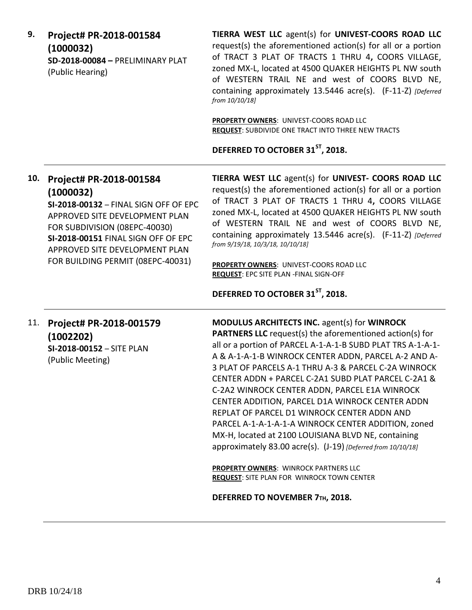**9. Project# PR-2018-001584 (1000032) SD-2018-00084 –** PRELIMINARY PLAT (Public Hearing)

**TIERRA WEST LLC** agent(s) for **UNIVEST-COORS ROAD LLC** request(s) the aforementioned action(s) for all or a portion of TRACT 3 PLAT OF TRACTS 1 THRU 4**,** COORS VILLAGE, zoned MX-L, located at 4500 QUAKER HEIGHTS PL NW south of WESTERN TRAIL NE and west of COORS BLVD NE, containing approximately 13.5446 acre(s). (F-11-Z) *[Deferred from 10/10/18]*

**PROPERTY OWNERS**: UNIVEST-COORS ROAD LLC **REQUEST**: SUBDIVIDE ONE TRACT INTO THREE NEW TRACTS

**DEFERRED TO OCTOBER 31ST, 2018.**

# **10. Project# PR-2018-001584 (1000032)**

**SI-2018-00132** – FINAL SIGN OFF OF EPC APPROVED SITE DEVELOPMENT PLAN FOR SUBDIVISION (08EPC-40030) **SI-2018-00151** FINAL SIGN OFF OF EPC APPROVED SITE DEVELOPMENT PLAN FOR BUILDING PERMIT (08EPC-40031)

**TIERRA WEST LLC** agent(s) for **UNIVEST- COORS ROAD LLC** request(s) the aforementioned action(s) for all or a portion of TRACT 3 PLAT OF TRACTS 1 THRU 4**,** COORS VILLAGE zoned MX-L, located at 4500 QUAKER HEIGHTS PL NW south of WESTERN TRAIL NE and west of COORS BLVD NE, containing approximately 13.5446 acre(s). (F-11-Z) *[Deferred from 9/19/18, 10/3/18, 10/10/18]*

**PROPERTY OWNERS**: UNIVEST-COORS ROAD LLC **REQUEST**: EPC SITE PLAN -FINAL SIGN-OFF

**DEFERRED TO OCTOBER 31ST, 2018.**

### 11. **Project# PR-2018-001579 (1002202) SI-2018-00152** – SITE PLAN (Public Meeting)

**MODULUS ARCHITECTS INC.** agent(s) for **WINROCK PARTNERS LLC** request(s) the aforementioned action(s) for all or a portion of PARCEL A-1-A-1-B SUBD PLAT TRS A-1-A-1- A & A-1-A-1-B WINROCK CENTER ADDN, PARCEL A-2 AND A-3 PLAT OF PARCELS A-1 THRU A-3 & PARCEL C-2A WINROCK CENTER ADDN + PARCEL C-2A1 SUBD PLAT PARCEL C-2A1 & C-2A2 WINROCK CENTER ADDN, PARCEL E1A WINROCK CENTER ADDITION, PARCEL D1A WINROCK CENTER ADDN REPLAT OF PARCEL D1 WINROCK CENTER ADDN AND PARCEL A-1-A-1-A-1-A WINROCK CENTER ADDITION, zoned MX-H, located at 2100 LOUISIANA BLVD NE, containing approximately 83.00 acre(s). (J-19) *[Deferred from 10/10/18]*

**PROPERTY OWNERS**: WINROCK PARTNERS LLC **REQUEST**: SITE PLAN FOR WINROCK TOWN CENTER

**DEFERRED TO NOVEMBER 7TH, 2018.**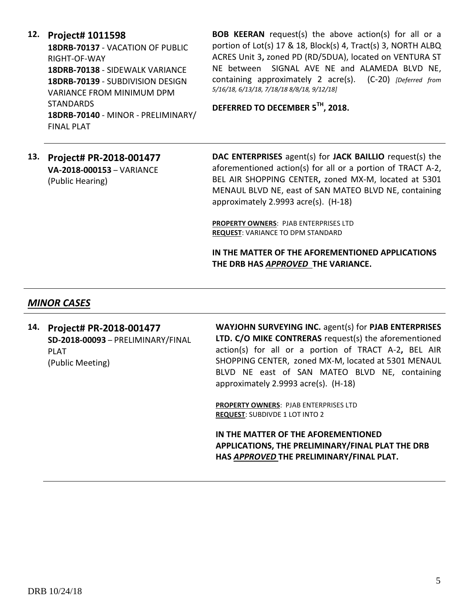### **12. Project# 1011598**

**18DRB-70137** - VACATION OF PUBLIC RIGHT-OF-WAY **18DRB-70138** - SIDEWALK VARIANCE **18DRB-70139** - SUBDIVISION DESIGN VARIANCE FROM MINIMUM DPM **STANDARDS 18DRB-70140** - MINOR - PRELIMINARY/ FINAL PLAT

**BOB KEERAN** request(s) the above action(s) for all or a portion of Lot(s) 17 & 18, Block(s) 4, Tract(s) 3, NORTH ALBQ ACRES Unit 3**,** zoned PD (RD/5DUA), located on VENTURA ST NE between SIGNAL AVE NE and ALAMEDA BLVD NE, containing approximately 2 acre(s). (C-20) *[Deferred from 5/16/18, 6/13/18, 7/18/18 8/8/18, 9/12/18]*

**DEFERRED TO DECEMBER 5TH, 2018.**

### **13. Project# PR-2018-001477 VA-2018-000153** – VARIANCE (Public Hearing)

**DAC ENTERPRISES** agent(s) for **JACK BAILLIO** request(s) the aforementioned action(s) for all or a portion of TRACT A-2, BEL AIR SHOPPING CENTER**,** zoned MX-M, located at 5301 MENAUL BLVD NE, east of SAN MATEO BLVD NE, containing approximately 2.9993 acre(s). (H-18)

**PROPERTY OWNERS**: PJAB ENTERPRISES LTD **REQUEST**: VARIANCE TO DPM STANDARD

**IN THE MATTER OF THE AFOREMENTIONED APPLICATIONS THE DRB HAS** *APPROVED* **THE VARIANCE.**

## *MINOR CASES*

**14. Project# PR-2018-001477 SD-2018-00093** – PRELIMINARY/FINAL PLAT (Public Meeting)

**WAYJOHN SURVEYING INC.** agent(s) for **PJAB ENTERPRISES LTD. C/O MIKE CONTRERAS** request(s) the aforementioned action(s) for all or a portion of TRACT A-2**,** BEL AIR SHOPPING CENTER, zoned MX-M, located at 5301 MENAUL BLVD NE east of SAN MATEO BLVD NE, containing approximately 2.9993 acre(s). (H-18)

**PROPERTY OWNERS**: PJAB ENTERPRISES LTD **REQUEST**: SUBDIVDE 1 LOT INTO 2

**IN THE MATTER OF THE AFOREMENTIONED APPLICATIONS, THE PRELIMINARY/FINAL PLAT THE DRB HAS** *APPROVED* **THE PRELIMINARY/FINAL PLAT.**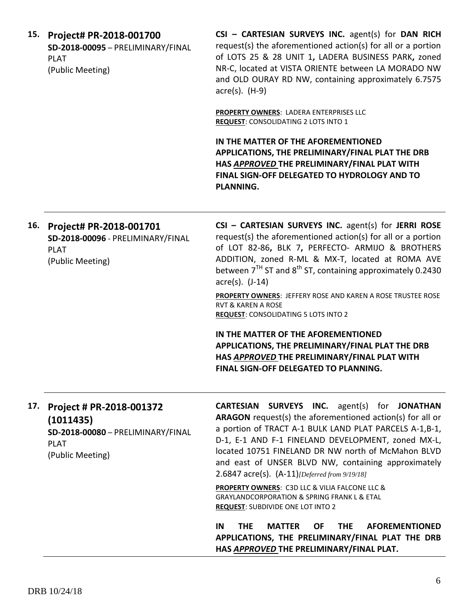| 15. Project# PR-2018-001700       |  |
|-----------------------------------|--|
| SD-2018-00095 - PRELIMINARY/FINAL |  |
| PLAT                              |  |
| (Public Meeting)                  |  |

**CSI – CARTESIAN SURVEYS INC.** agent(s) for **DAN RICH**  request(s) the aforementioned action(s) for all or a portion of LOTS 25 & 28 UNIT 1**,** LADERA BUSINESS PARK**,** zoned NR-C, located at VISTA ORIENTE between LA MORADO NW and OLD OURAY RD NW, containing approximately 6.7575 acre(s). (H-9)

**PROPERTY OWNERS**: LADERA ENTERPRISES LLC **REQUEST**: CONSOLIDATING 2 LOTS INTO 1

**IN THE MATTER OF THE AFOREMENTIONED APPLICATIONS, THE PRELIMINARY/FINAL PLAT THE DRB HAS** *APPROVED* **THE PRELIMINARY/FINAL PLAT WITH FINAL SIGN-OFF DELEGATED TO HYDROLOGY AND TO PLANNING.** 

| 16. | Project# PR-2018-001701<br>SD-2018-00096 - PRELIMINARY/FINAL<br><b>PLAT</b><br>(Public Meeting)               | CSI - CARTESIAN SURVEYS INC. agent(s) for JERRI ROSE<br>request(s) the aforementioned action(s) for all or a portion<br>of LOT 82-86, BLK 7, PERFECTO- ARMIJO & BROTHERS<br>ADDITION, zoned R-ML & MX-T, located at ROMA AVE<br>between $7TH$ ST and $8th$ ST, containing approximately 0.2430<br>$\arccos(5)$ . (J-14)                                                                        |
|-----|---------------------------------------------------------------------------------------------------------------|------------------------------------------------------------------------------------------------------------------------------------------------------------------------------------------------------------------------------------------------------------------------------------------------------------------------------------------------------------------------------------------------|
|     |                                                                                                               | <b>PROPERTY OWNERS: JEFFERY ROSE AND KAREN A ROSE TRUSTEE ROSE</b><br><b>RVT &amp; KAREN A ROSE</b><br><b>REQUEST: CONSOLIDATING 5 LOTS INTO 2</b>                                                                                                                                                                                                                                             |
|     |                                                                                                               | IN THE MATTER OF THE AFOREMENTIONED<br>APPLICATIONS, THE PRELIMINARY/FINAL PLAT THE DRB<br>HAS APPROVED THE PRELIMINARY/FINAL PLAT WITH<br>FINAL SIGN-OFF DELEGATED TO PLANNING.                                                                                                                                                                                                               |
| 17. | Project # PR-2018-001372<br>(1011435)<br>SD-2018-00080 - PRELIMINARY/FINAL<br><b>PLAT</b><br>(Public Meeting) | <b>CARTESIAN SURVEYS INC.</b> agent(s) for JONATHAN<br>ARAGON request(s) the aforementioned action(s) for all or<br>a portion of TRACT A-1 BULK LAND PLAT PARCELS A-1,B-1,<br>D-1, E-1 AND F-1 FINELAND DEVELOPMENT, zoned MX-L,<br>located 10751 FINELAND DR NW north of McMahon BLVD<br>and east of UNSER BLVD NW, containing approximately<br>2.6847 acre(s). (A-11)[Deferred from 9/19/18] |
|     |                                                                                                               | PROPERTY OWNERS: C3D LLC & VILIA FALCONE LLC &<br><b>GRAYLANDCORPORATION &amp; SPRING FRANK L &amp; ETAL</b><br><b>REQUEST: SUBDIVIDE ONE LOT INTO 2</b>                                                                                                                                                                                                                                       |
|     |                                                                                                               | IN<br><b>MATTER</b><br><b>AFOREMENTIONED</b><br><b>THE</b><br><b>OF</b><br><b>THE</b><br>APPLICATIONS, THE PRELIMINARY/FINAL PLAT THE DRB<br>HAS APPROVED THE PRELIMINARY/FINAL PLAT.                                                                                                                                                                                                          |